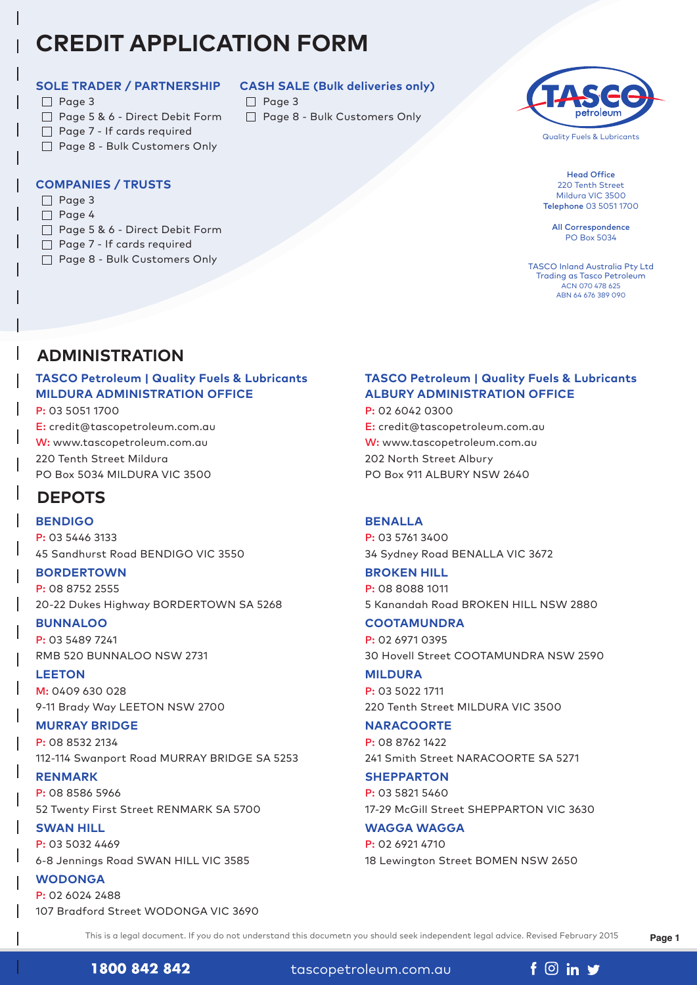# **CREDIT APPLICATION FORM**

### **SOLE TRADER / PARTNERSHIP**

- $\Box$  Page 3
- □ Page 5 & 6 Direct Debit Form
- Page 7 If cards required
- □ Page 8 Bulk Customers Only

# **COMPANIES / TRUSTS**

- $\Box$  Page 3
- $\Box$  Page 4
- Page 5 & 6 Direct Debit Form
- □ Page 7 If cards required
- Page 8 Bulk Customers Only

# **CASH SALE (Bulk deliveries only)**

- $\Box$  Page 3
- □ Page 8 Bulk Customers Only



Quality Fuels & Lubricants

Head Office 220 Tenth Street Mildura VIC 3500 Telephone 03 5051 1700

All Correspondence PO Box 5034

TASCO Inland Australia Pty Ltd Trading as Tasco Petroleum ACN 070 478 625 ABN 64 676 389 090

# **ADMINISTRATION**

# **TASCO Petroleum | Quality Fuels & Lubricants MILDURA ADMINISTRATION OFFICE**

P: 03 5051 1700 E: credit@tascopetroleum.com.au W: www.tascopetroleum.com.au 220 Tenth Street Mildura PO Box 5034 MILDURA VIC 3500

# **DEPOTS**

**BENDIGO** P: 03 5446 3133 45 Sandhurst Road BENDIGO VIC 3550

**BORDERTOWN** P: 08 8752 2555

20-22 Dukes Highway BORDERTOWN SA 5268

# **BUNNALOO**

P: 03 5489 7241 RMB 520 BUNNALOO NSW 2731

**LEETON**

M: 0409 630 028 9-11 Brady Way LEETON NSW 2700

# **MURRAY BRIDGE**

P: 08 8532 2134 112-114 Swanport Road MURRAY BRIDGE SA 5253

**RENMARK** P: 08 8586 5966 52 Twenty First Street RENMARK SA 5700

**SWAN HILL** P: 03 5032 4469 6-8 Jennings Road SWAN HILL VIC 3585

**WODONGA** P: 02 6024 2488 107 Bradford Street WODONGA VIC 3690

# **TASCO Petroleum | Quality Fuels & Lubricants ALBURY ADMINISTRATION OFFICE**

P: 02 6042 0300 E: credit@tascopetroleum.com.au W: www.tascopetroleum.com.au 202 North Street Albury PO Box 911 ALBURY NSW 2640

# **BENALLA**

P: 03 5761 3400 34 Sydney Road BENALLA VIC 3672

# **BROKEN HILL**

P: 08 8088 1011 5 Kanandah Road BROKEN HILL NSW 2880

# **COOTAMUNDRA**

P: 02 6971 0395 30 Hovell Street COOTAMUNDRA NSW 2590

**MILDURA** P: 03 5022 1711 220 Tenth Street MILDURA VIC 3500

# **NARACOORTE**

P: 08 8762 1422 241 Smith Street NARACOORTE SA 5271

**SHEPPARTON** P: 03 5821 5460 17-29 McGill Street SHEPPARTON VIC 3630

**WAGGA WAGGA** P: 02 6921 4710 18 Lewington Street BOMEN NSW 2650

This is a legal document. If you do not understand this documetn you should seek independent legal advice. Revised February 2015

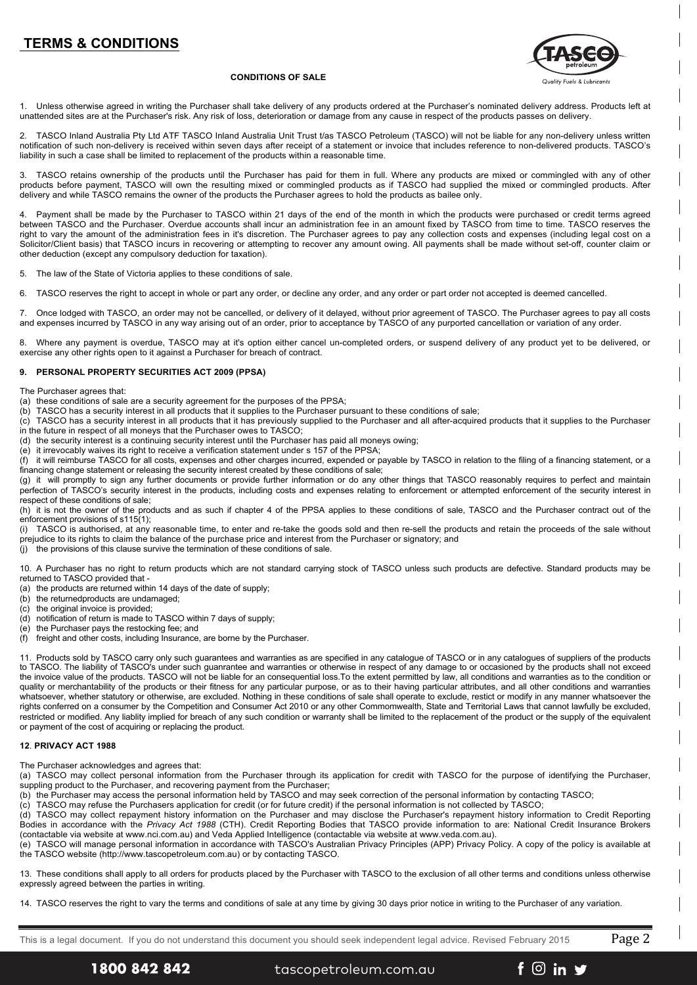# **TERMS & CONDITIONS**



#### **CONDITIONS OF SALE**

1. Unless otherwise agreed in writing the Purchaser shall take delivery of any products ordered at the Purchaser's nominated delivery address. Products left at unattended sites are at the Purchaser's risk. Any risk of loss, deterioration or damage from any cause in respect of the products passes on delivery.

2. TASCO Inland Australia Pty Ltd ATF TASCO Inland Australia Unit Trust t/as TASCO Petroleum (TASCO) will not be liable for any non-delivery unless written notification of such non-delivery is received within seven days after receipt of a statement or invoice that includes reference to non-delivered products. TASCO's liability in such a case shall be limited to replacement of the products within a reasonable time.

3. TASCO retains ownership of the products until the Purchaser has paid for them in full. Where any products are mixed or commingled with any of other products before payment, TASCO will own the resulting mixed or commingled products as if TASCO had supplied the mixed or commingled products. After delivery and while TASCO remains the owner of the products the Purchaser agrees to hold the products as bailee only.

4. Payment shall be made by the Purchaser to TASCO within 21 days of the end of the month in which the products were purchased or credit terms agreed between TASCO and the Purchaser. Overdue accounts shall incur an administration fee in an amount fixed by TASCO from time to time. TASCO reserves the right to vary the amount of the administration fees in it's discretion. The Purchaser agrees to pay any collection costs and expenses (including legal cost on a Solicitor/Client basis) that TASCO incurs in recovering or attempting to recover any amount owing. All payments shall be made without set-off, counter claim or other deduction (except any compulsory deduction for taxation).

5. The law of the State of Victoria applies to these conditions of sale.

6. TASCO reserves the right to accept in whole or part any order, or decline any order, and any order or part order not accepted is deemed cancelled.

7. Once lodged with TASCO, an order may not be cancelled, or delivery of it delayed, without prior agreement of TASCO. The Purchaser agrees to pay all costs and expenses incurred by TASCO in any way arising out of an order, prior to acceptance by TASCO of any purported cancellation or variation of any order.

8. Where any payment is overdue, TASCO may at it's option either cancel un-completed orders, or suspend delivery of any product yet to be delivered, or exercise any other rights open to it against a Purchaser for breach of contract.

### **9. PERSONAL PROPERTY SECURITIES ACT 2009 (PPSA)**

The Purchaser agrees that:

- (a) these conditions of sale are a security agreement for the purposes of the PPSA;
- (b) TASCO has a security interest in all products that it supplies to the Purchaser pursuant to these conditions of sale;
- $\overline{c}$  TASCO has a security interest in all products that it has previously supplied to the Purchaser and all after-acquired products that it supplies to the Purchaser in the future in respect of all moneys that the Purchaser owes to TASCO;
- (d) the security interest is a continuing security interest until the Purchaser has paid all moneys owing;
- (e) it irrevocably waives its right to receive a verification statement under s 157 of the PPSA;

(f) it will reimburse TASCO for all costs, expenses and other charges incurred, expended or payable by TASCO in relation to the filing of a financing statement, or a financing change statement or releasing the security interest created by these conditions of sale;

(g) it will promptly to sign any further documents or provide further information or do any other things that TASCO reasonably requires to perfect and maintain perfection of TASCO's security interest in the products, including costs and expenses relating to enforcement or attempted enforcement of the security interest in respect of these conditions of sale;

(h) it is not the owner of the products and as such if chapter 4 of the PPSA applies to these conditions of sale, TASCO and the Purchaser contract out of the enforcement provisions of s115(1);

(i) TASCO is authorised, at any reasonable time, to enter and re-take the goods sold and then re-sell the products and retain the proceeds of the sale without prejudice to its rights to claim the balance of the purchase price and interest from the Purchaser or signatory; and

 $\ddot{\textbf{i}}$  the provisions of this clause survive the termination of these conditions of sale.

10. A Purchaser has no right to return products which are not standard carrying stock of TASCO unless such products are defective. Standard products may be returned to TASCO provided that -

(a) the products are returned within 14 days of the date of supply;

- (b) the returnedproducts are undamaged;
- (c) the original invoice is provided;
- (d) notification of return is made to TASCO within 7 days of supply;
- (e) the Purchaser pays the restocking fee; and

(f) freight and other costs, including Insurance, are borne by the Purchaser.

11. Products sold by TASCO carry only such guarantees and warranties as are specified in any catalogue of TASCO or in any catalogues of suppliers of the products to TASCO. The liability of TASCO's under such guanrantee and warranties or otherwise in respect of any damage to or occasioned by the products shall not exceed the invoice value of the products. TASCO will not be liable for an consequential loss.To the extent permitted by law, all conditions and warranties as to the condition or quality or merchantability of the products or their fitness for any particular purpose, or as to their having particular attributes, and all other conditions and warranties whatsoever, whether statutory or otherwise, are excluded. Nothing in these conditions of sale shall operate to exclude, restict or modify in any manner whatsoever the rights conferred on a consumer by the Competition and Consumer Act 2010 or any other Commomwealth, State and Territorial Laws that cannot lawfully be excluded, restricted or modified. Any liablity implied for breach of any such condition or warranty shall be limited to the replacement of the product or the supply of the equivalent or payment of the cost of acquiring or replacing the product.

### **12**. **PRIVACY ACT 1988**

The Purchaser acknowledges and agrees that:

(a) TASCO may collect personal information from the Purchaser through its application for credit with TASCO for the purpose of identifying the Purchaser, suppling product to the Purchaser, and recovering payment from the Purchaser;

(b) the Purchaser may access the personal information held by TASCO and may seek correction of the personal information by contacting TASCO;

(c) TASCO may refuse the Purchasers application for credit (or for future credit) if the personal information is not collected by TASCO;

(d) TASCO may collect repayment history information on the Purchaser and may disclose the Purchaser's repayment history information to Credit Reporting Bodies in accordance with the *Privacy Act 1988* (CTH). Credit Reporting Bodies that TASCO provide information to are: National Credit Insurance Brokers (contactable via website at www.nci.com.au) and Veda Applied Intelligence (contactable via website at www.veda.com.au).

(e) TASCO will manage personal information in accordance with TASCO's Australian Privacy Principles (APP) Privacy Policy. A copy of the policy is available at the TASCO website (http://www.tascopetroleum.com.au) or by contacting TASCO.

13. These conditions shall apply to all orders for products placed by the Purchaser with TASCO to the exclusion of all other terms and conditions unless otherwise expressly agreed between the parties in writing.

14. TASCO reserves the right to vary the terms and conditions of sale at any time by giving 30 days prior notice in writing to the Purchaser of any variation.

This is a legal document. If you do not understand this document you should seek independent legal advice. Revised February 2015 Page  $2$ 

 $f \circledcirc$  in  $\blacktriangleright$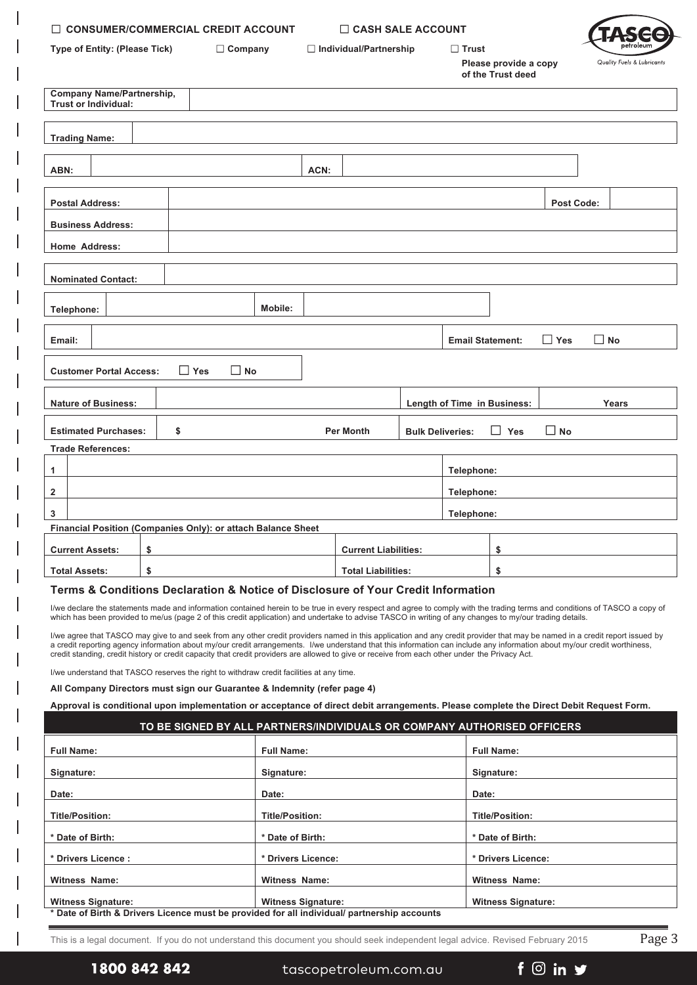| $\Box$ CONSUMER/COMMERCIAL CREDIT ACCOUNT                                                                                                                                                                                                                                                                                                                                                                                                                                                                                                                                                                                                                                                                                                                                                                                                           |    |                                                                                             |                           | $\Box$ CASH SALE ACCOUNT                                                |                         |                             |                                                               |                   |                            |  |
|-----------------------------------------------------------------------------------------------------------------------------------------------------------------------------------------------------------------------------------------------------------------------------------------------------------------------------------------------------------------------------------------------------------------------------------------------------------------------------------------------------------------------------------------------------------------------------------------------------------------------------------------------------------------------------------------------------------------------------------------------------------------------------------------------------------------------------------------------------|----|---------------------------------------------------------------------------------------------|---------------------------|-------------------------------------------------------------------------|-------------------------|-----------------------------|---------------------------------------------------------------|-------------------|----------------------------|--|
| Type of Entity: (Please Tick)<br>$\Box$ Company                                                                                                                                                                                                                                                                                                                                                                                                                                                                                                                                                                                                                                                                                                                                                                                                     |    |                                                                                             |                           | $\Box$ Individual/Partnership                                           |                         |                             | $\square$ Trust<br>Please provide a copy<br>of the Trust deed |                   | Quality Fuels & Lubricants |  |
| Company Name/Partnership,<br><b>Trust or Individual:</b>                                                                                                                                                                                                                                                                                                                                                                                                                                                                                                                                                                                                                                                                                                                                                                                            |    |                                                                                             |                           |                                                                         |                         |                             |                                                               |                   |                            |  |
| <b>Trading Name:</b>                                                                                                                                                                                                                                                                                                                                                                                                                                                                                                                                                                                                                                                                                                                                                                                                                                |    |                                                                                             |                           |                                                                         |                         |                             |                                                               |                   |                            |  |
| ABN:                                                                                                                                                                                                                                                                                                                                                                                                                                                                                                                                                                                                                                                                                                                                                                                                                                                |    |                                                                                             | ACN:                      |                                                                         |                         |                             |                                                               |                   |                            |  |
| <b>Postal Address:</b>                                                                                                                                                                                                                                                                                                                                                                                                                                                                                                                                                                                                                                                                                                                                                                                                                              |    |                                                                                             |                           |                                                                         |                         |                             |                                                               | <b>Post Code:</b> |                            |  |
| <b>Business Address:</b>                                                                                                                                                                                                                                                                                                                                                                                                                                                                                                                                                                                                                                                                                                                                                                                                                            |    |                                                                                             |                           |                                                                         |                         |                             |                                                               |                   |                            |  |
| <b>Home Address:</b>                                                                                                                                                                                                                                                                                                                                                                                                                                                                                                                                                                                                                                                                                                                                                                                                                                |    |                                                                                             |                           |                                                                         |                         |                             |                                                               |                   |                            |  |
| <b>Nominated Contact:</b>                                                                                                                                                                                                                                                                                                                                                                                                                                                                                                                                                                                                                                                                                                                                                                                                                           |    |                                                                                             |                           |                                                                         |                         |                             |                                                               |                   |                            |  |
| Telephone:                                                                                                                                                                                                                                                                                                                                                                                                                                                                                                                                                                                                                                                                                                                                                                                                                                          |    |                                                                                             | Mobile:                   |                                                                         |                         |                             |                                                               |                   |                            |  |
| Email:                                                                                                                                                                                                                                                                                                                                                                                                                                                                                                                                                                                                                                                                                                                                                                                                                                              |    |                                                                                             |                           |                                                                         |                         | <b>Email Statement:</b>     |                                                               | $\Box$ Yes        | $\Box$ No                  |  |
| <b>Customer Portal Access:</b>                                                                                                                                                                                                                                                                                                                                                                                                                                                                                                                                                                                                                                                                                                                                                                                                                      |    | $\Box$ Yes<br>$\square$ No                                                                  |                           |                                                                         |                         |                             |                                                               |                   |                            |  |
| <b>Nature of Business:</b>                                                                                                                                                                                                                                                                                                                                                                                                                                                                                                                                                                                                                                                                                                                                                                                                                          |    |                                                                                             |                           |                                                                         |                         | Length of Time in Business: |                                                               |                   | Years                      |  |
| <b>Estimated Purchases:</b>                                                                                                                                                                                                                                                                                                                                                                                                                                                                                                                                                                                                                                                                                                                                                                                                                         | \$ |                                                                                             |                           | <b>Per Month</b>                                                        | <b>Bulk Deliveries:</b> |                             | L<br>Yes                                                      | $\Box$ No         |                            |  |
| <b>Trade References:</b>                                                                                                                                                                                                                                                                                                                                                                                                                                                                                                                                                                                                                                                                                                                                                                                                                            |    |                                                                                             |                           |                                                                         |                         |                             |                                                               |                   |                            |  |
| 1                                                                                                                                                                                                                                                                                                                                                                                                                                                                                                                                                                                                                                                                                                                                                                                                                                                   |    |                                                                                             |                           |                                                                         |                         | Telephone:                  |                                                               |                   |                            |  |
| 2                                                                                                                                                                                                                                                                                                                                                                                                                                                                                                                                                                                                                                                                                                                                                                                                                                                   |    |                                                                                             |                           |                                                                         |                         |                             | Telephone:                                                    |                   |                            |  |
| 3<br>Financial Position (Companies Only): or attach Balance Sheet                                                                                                                                                                                                                                                                                                                                                                                                                                                                                                                                                                                                                                                                                                                                                                                   |    |                                                                                             |                           |                                                                         |                         | Telephone:                  |                                                               |                   |                            |  |
| <b>Current Assets:</b>                                                                                                                                                                                                                                                                                                                                                                                                                                                                                                                                                                                                                                                                                                                                                                                                                              | \$ |                                                                                             |                           | <b>Current Liabilities:</b>                                             |                         |                             | \$                                                            |                   |                            |  |
| <b>Total Assets:</b>                                                                                                                                                                                                                                                                                                                                                                                                                                                                                                                                                                                                                                                                                                                                                                                                                                | \$ |                                                                                             |                           | <b>Total Liabilities:</b>                                               |                         |                             | \$                                                            |                   |                            |  |
| Terms & Conditions Declaration & Notice of Disclosure of Your Credit Information                                                                                                                                                                                                                                                                                                                                                                                                                                                                                                                                                                                                                                                                                                                                                                    |    |                                                                                             |                           |                                                                         |                         |                             |                                                               |                   |                            |  |
| I/we declare the statements made and information contained herein to be true in every respect and agree to comply with the trading terms and conditions of TASCO a copy of<br>which has been provided to me/us (page 2 of this credit application) and undertake to advise TASCO in writing of any changes to my/our trading details.<br>I/we agree that TASCO may give to and seek from any other credit providers named in this application and any credit provider that may be named in a credit report issued by<br>a credit reporting agency information about my/our credit arrangements. I/we understand that this information can include any information about my/our credit worthiness,<br>credit standing, credit history or credit capacity that credit providers are allowed to give or receive from each other under the Privacy Act. |    |                                                                                             |                           |                                                                         |                         |                             |                                                               |                   |                            |  |
| I/we understand that TASCO reserves the right to withdraw credit facilities at any time.                                                                                                                                                                                                                                                                                                                                                                                                                                                                                                                                                                                                                                                                                                                                                            |    |                                                                                             |                           |                                                                         |                         |                             |                                                               |                   |                            |  |
| All Company Directors must sign our Guarantee & Indemnity (refer page 4)                                                                                                                                                                                                                                                                                                                                                                                                                                                                                                                                                                                                                                                                                                                                                                            |    |                                                                                             |                           |                                                                         |                         |                             |                                                               |                   |                            |  |
| Approval is conditional upon implementation or acceptance of direct debit arrangements. Please complete the Direct Debit Request Form.                                                                                                                                                                                                                                                                                                                                                                                                                                                                                                                                                                                                                                                                                                              |    |                                                                                             |                           | TO BE SIGNED BY ALL PARTNERS/INDIVIDUALS OR COMPANY AUTHORISED OFFICERS |                         |                             |                                                               |                   |                            |  |
| <b>Full Name:</b>                                                                                                                                                                                                                                                                                                                                                                                                                                                                                                                                                                                                                                                                                                                                                                                                                                   |    |                                                                                             | <b>Full Name:</b>         |                                                                         |                         |                             | <b>Full Name:</b>                                             |                   |                            |  |
| Signature:                                                                                                                                                                                                                                                                                                                                                                                                                                                                                                                                                                                                                                                                                                                                                                                                                                          |    |                                                                                             | Signature:                |                                                                         |                         |                             | Signature:                                                    |                   |                            |  |
| Date:                                                                                                                                                                                                                                                                                                                                                                                                                                                                                                                                                                                                                                                                                                                                                                                                                                               |    |                                                                                             | Date:                     |                                                                         |                         | Date:                       |                                                               |                   |                            |  |
| <b>Title/Position:</b>                                                                                                                                                                                                                                                                                                                                                                                                                                                                                                                                                                                                                                                                                                                                                                                                                              |    |                                                                                             | <b>Title/Position:</b>    |                                                                         |                         |                             | <b>Title/Position:</b>                                        |                   |                            |  |
| * Date of Birth:                                                                                                                                                                                                                                                                                                                                                                                                                                                                                                                                                                                                                                                                                                                                                                                                                                    |    |                                                                                             | * Date of Birth:          |                                                                         |                         |                             | * Date of Birth:                                              |                   |                            |  |
| * Drivers Licence :                                                                                                                                                                                                                                                                                                                                                                                                                                                                                                                                                                                                                                                                                                                                                                                                                                 |    |                                                                                             |                           | * Drivers Licence:                                                      |                         |                             | * Drivers Licence:                                            |                   |                            |  |
| Witness Name:                                                                                                                                                                                                                                                                                                                                                                                                                                                                                                                                                                                                                                                                                                                                                                                                                                       |    |                                                                                             | <b>Witness Name:</b>      |                                                                         |                         |                             | <b>Witness Name:</b>                                          |                   |                            |  |
| <b>Witness Signature:</b>                                                                                                                                                                                                                                                                                                                                                                                                                                                                                                                                                                                                                                                                                                                                                                                                                           |    | * Date of Birth & Drivers Licence must be provided for all individual/ partnership accounts | <b>Witness Signature:</b> |                                                                         |                         |                             | <b>Witness Signature:</b>                                     |                   |                            |  |

 $\overline{\phantom{a}}$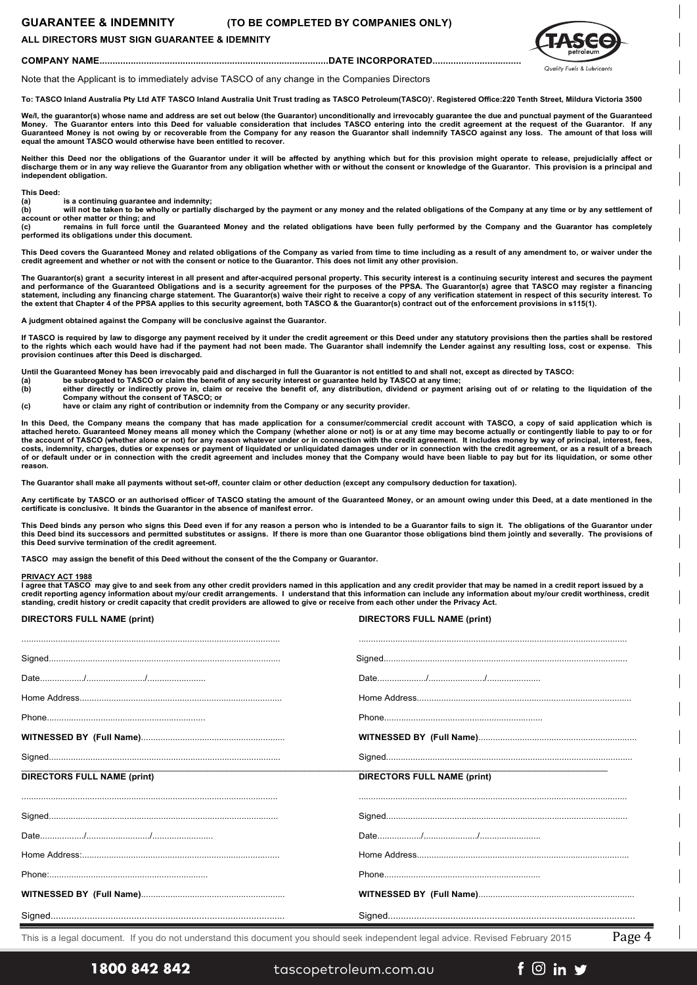### **GUARANTEE & INDEMNITY (TO BE COMPLETED BY COMPANIES ONLY)**

### **ALL DIRECTORS MUST SIGN GUARANTEE & IDEMNITY**



**COMPANY NAME........................................................................................DATE INCORPORATED..................................**

Note that the Applicant is to immediately advise TASCO of any change in the Companies Directors

**To: TASCO Inland Australia Pty Ltd ATF TASCO Inland Australia Unit Trust trading as TASCO Petroleum(TASCO)'. Registered Office:220 Tenth Street, Mildura Victoria 3500**

We/l, the guarantor(s) whose name and address are set out below (the Guarantor) unconditionally and irrevocably guarantee the due and punctual payment of the Guaranteed<br>Money. The Guarantor enters into this Deed for valuab **Money. The Guarantor enters into this Deed for valuable consideration that includes TASCO entering into the credit agreement at the request of the Guarantor. If any Guaranteed Money is not owing by or recoverable from the Company for any reason the Guarantor shall indemnify TASCO against any loss. The amount of that loss will equal the amount TASCO would otherwise have been entitled to recover.**

Neither this Deed nor the obligations of the Guarantor under it will be affected by anything which but for this provision might operate to release, prejudicially affect or<br>discharge them or in any way relieve the Guarantor **independent obligation.**

**(a) is a continuing guarantee and indemnity;**

**This Deed: (b) will not be taken to be wholly or partially discharged by the payment or any money and the related obligations of the Company at any time or by any settlement of** 

**account or other matter or thing; and (c) remains in full force until the Guaranteed Money and the related obligations have been fully performed by the Company and the Guarantor has completely performed its obligations under this document.**

This Deed covers the Guaranteed Money and related obligations of the Company as varied from time to time including as a result of any amendment to, or waiver under the **credit agreement and whether or not with the consent or notice to the Guarantor. This does not limit any other provision.**

The Guarantor(s) grant a security interest in all present and after-acquired personal property. This security interest is a continuing security interest and secures the payment<br>and performance of the Guaranteed Obligation

**A judgment obtained against the Company will be conclusive against the Guarantor.**

**If TASCO is required by law to disgorge any payment received by it under the credit agreement or this Deed under any statutory provisions then the parties shall be restored to the rights which each would have had if the payment had not been made. The Guarantor shall indemnify the Lender against any resulting loss, cost or expense. This provision continues after this Deed is discharged.**

**Until the Guaranteed Money has been irrevocably paid and discharged in full the Guarantor is not entitled to and shall not, except as directed by TASCO:**

**(a) be subrogated to TASCO** or claim the benefit of any security interest or guarantee held by TASCO at any time;<br>
(b) either directly or indirectly prove in, claim or receive the benefit of, any distribution, dividend (b) either directly or indirectly prove in, claim or receive the benefit of, any distribution, dividend or payment arising out of or relating to the liquidation of the<br>Company without the consent of TASCO; or

- 
- **(c) have or claim any right of contribution or indemnity from the Company or any security provider.**

**In this Deed, the Company means the company that has made application for a consumer/commercial credit account with TASCO, a copy of said application which is attached hereto. Guaranteed Money means all money which the Company (whether alone or not) is or at any time may become actually or contingently liable to pay to or for the account of TASCO (whether alone or not) for any reason whatever under or in connection with the credit agreement. It includes money by way of principal, interest, fees,**  costs, indemnity, charges, duties or expenses or payment of liquidated or unliquidated damages under or in connection with the credit agreement, or as a result of a breach<br>of or default under or in connection with the cred **reason.**

**The Guarantor shall make all payments without set-off, counter claim or other deduction (except any compulsory deduction for taxation).**

**Any certificate by TASCO or an authorised officer of TASCO stating the amount of the Guaranteed Money, or an amount owing under this Deed, at a date mentioned in the certificate is conclusive. It binds the Guarantor in the absence of manifest error.**

This Deed binds any person who signs this Deed even if for any reason a person who is intended to be a Guarantor fails to sign it. The obligations of the Guarantor under this Deed bind its successors and permitted substitutes or assigns. If there is more than one Guarantor those obligations bind them jointly and severally. The provisions of<br>this Deed survive termination of the credit agre

**TASCO may assign the benefit of this Deed without the consent of the the Company or Guarantor.**

**PRIVACY ACT 1988 I agree that TASCO may give to and seek from any other credit providers named in this application and any credit provider that may be named in a credit report issued by a credit reporting agency information about my/our credit arrangements. I understand that this information can include any information about my/our credit worthiness, credit standing, credit history or credit capacity that credit providers are allowed to give or receive from each other under the Privacy Act.**

| <b>DIRECTORS FULL NAME (print)</b> | <b>DIRECTORS FULL NAME (print)</b> |
|------------------------------------|------------------------------------|
|                                    |                                    |
|                                    |                                    |
|                                    |                                    |
|                                    |                                    |
|                                    |                                    |
|                                    |                                    |
| <b>DIRECTORS FULL NAME (print)</b> | <b>DIRECTORS FULL NAME (print)</b> |
|                                    |                                    |
|                                    |                                    |
|                                    |                                    |
|                                    |                                    |
|                                    |                                    |
|                                    |                                    |
|                                    |                                    |

This is a legal document. If you do not understand this document you should seek independent legal advice. Revised February 2015 Page  $4$ 

# 1800 842 842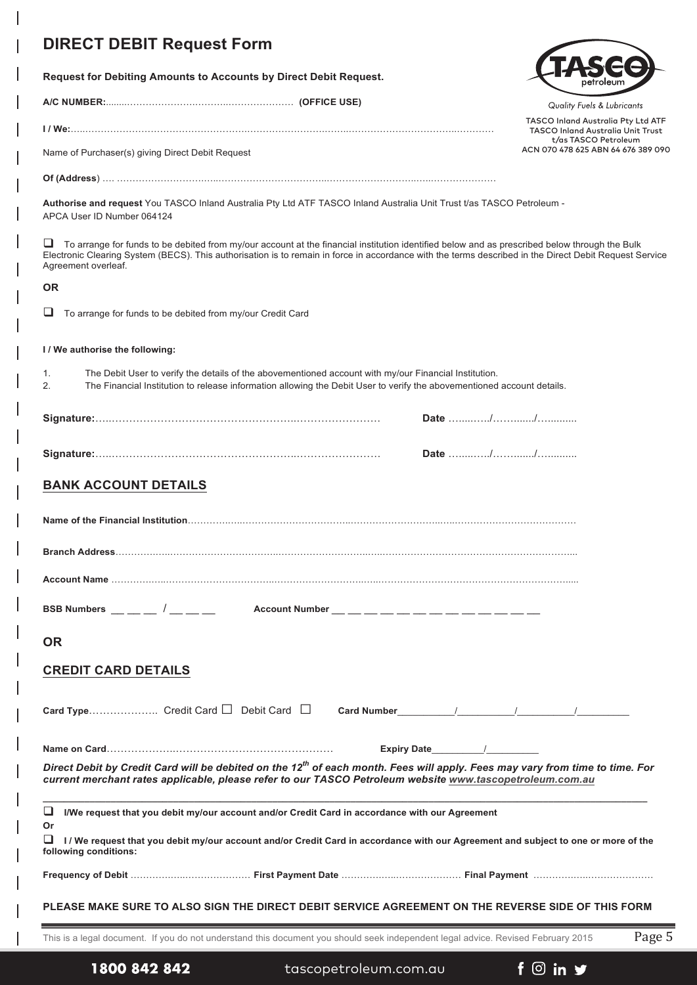# **DIRECT DEBIT R**

| DIRECT DEBIT Request Form                                                                                                                                                                                                                            |                                                                                                                                                                                                                                 |  |                                                                                                                                                        |
|------------------------------------------------------------------------------------------------------------------------------------------------------------------------------------------------------------------------------------------------------|---------------------------------------------------------------------------------------------------------------------------------------------------------------------------------------------------------------------------------|--|--------------------------------------------------------------------------------------------------------------------------------------------------------|
| Request for Debiting Amounts to Accounts by Direct Debit Request.                                                                                                                                                                                    |                                                                                                                                                                                                                                 |  |                                                                                                                                                        |
|                                                                                                                                                                                                                                                      |                                                                                                                                                                                                                                 |  | Quality Fuels & Lubricants                                                                                                                             |
|                                                                                                                                                                                                                                                      |                                                                                                                                                                                                                                 |  | <b>TASCO Inland Australia Pty Ltd ATF</b><br><b>TASCO Inland Australia Unit Trust</b>                                                                  |
| Name of Purchaser(s) giving Direct Debit Request                                                                                                                                                                                                     |                                                                                                                                                                                                                                 |  | t/as TASCO Petroleum<br>ACN 070 478 625 ABN 64 676 389 090                                                                                             |
|                                                                                                                                                                                                                                                      |                                                                                                                                                                                                                                 |  |                                                                                                                                                        |
| Authorise and request You TASCO Inland Australia Pty Ltd ATF TASCO Inland Australia Unit Trust t/as TASCO Petroleum -<br>APCA User ID Number 064124                                                                                                  |                                                                                                                                                                                                                                 |  |                                                                                                                                                        |
| ⊔<br>Agreement overleaf.                                                                                                                                                                                                                             | To arrange for funds to be debited from my/our account at the financial institution identified below and as prescribed below through the Bulk                                                                                   |  | Electronic Clearing System (BECS). This authorisation is to remain in force in accordance with the terms described in the Direct Debit Request Service |
| <b>OR</b>                                                                                                                                                                                                                                            |                                                                                                                                                                                                                                 |  |                                                                                                                                                        |
| ⊔<br>To arrange for funds to be debited from my/our Credit Card                                                                                                                                                                                      |                                                                                                                                                                                                                                 |  |                                                                                                                                                        |
| I / We authorise the following:                                                                                                                                                                                                                      |                                                                                                                                                                                                                                 |  |                                                                                                                                                        |
| 1.<br>2.                                                                                                                                                                                                                                             | The Debit User to verify the details of the abovementioned account with my/our Financial Institution.<br>The Financial Institution to release information allowing the Debit User to verify the abovementioned account details. |  |                                                                                                                                                        |
|                                                                                                                                                                                                                                                      |                                                                                                                                                                                                                                 |  |                                                                                                                                                        |
|                                                                                                                                                                                                                                                      |                                                                                                                                                                                                                                 |  |                                                                                                                                                        |
| <b>BANK ACCOUNT DETAILS</b>                                                                                                                                                                                                                          |                                                                                                                                                                                                                                 |  |                                                                                                                                                        |
|                                                                                                                                                                                                                                                      |                                                                                                                                                                                                                                 |  |                                                                                                                                                        |
|                                                                                                                                                                                                                                                      |                                                                                                                                                                                                                                 |  |                                                                                                                                                        |
|                                                                                                                                                                                                                                                      |                                                                                                                                                                                                                                 |  |                                                                                                                                                        |
|                                                                                                                                                                                                                                                      |                                                                                                                                                                                                                                 |  |                                                                                                                                                        |
| BSB Numbers __ _ _ / _ _ _ _ Account Number _ _ _ _ _ _ _ _ _ _ _ _ _ _ _                                                                                                                                                                            |                                                                                                                                                                                                                                 |  |                                                                                                                                                        |
| <b>OR</b>                                                                                                                                                                                                                                            |                                                                                                                                                                                                                                 |  |                                                                                                                                                        |
| <b>CREDIT CARD DETAILS</b>                                                                                                                                                                                                                           |                                                                                                                                                                                                                                 |  |                                                                                                                                                        |
|                                                                                                                                                                                                                                                      |                                                                                                                                                                                                                                 |  |                                                                                                                                                        |
|                                                                                                                                                                                                                                                      |                                                                                                                                                                                                                                 |  |                                                                                                                                                        |
| Direct Debit by Credit Card will be debited on the 12 <sup>th</sup> of each month. Fees will apply. Fees may vary from time to time. For<br>current merchant rates applicable, please refer to our TASCO Petroleum website www.tascopetroleum.com.au |                                                                                                                                                                                                                                 |  |                                                                                                                                                        |
| ⊔                                                                                                                                                                                                                                                    | I/We request that you debit my/our account and/or Credit Card in accordance with our Agreement                                                                                                                                  |  |                                                                                                                                                        |
| Or<br>ப<br>following conditions:                                                                                                                                                                                                                     |                                                                                                                                                                                                                                 |  | I/We request that you debit my/our account and/or Credit Card in accordance with our Agreement and subject to one or more of the                       |

**Frequency of Debit** ………….…..………………… **First Payment Date** ………….…..………………… **Final Payment** ………….…..…………………

### **PLEASE MAKE SURE TO ALSO SIGN THE DIRECT DEBIT SERVICE AGREEMENT ON THE REVERSE SIDE OF THIS FORM**

This is a legal document. If you do not understand this document you should seek independent legal advice. Revised February 2015 Page 5

1800 842 842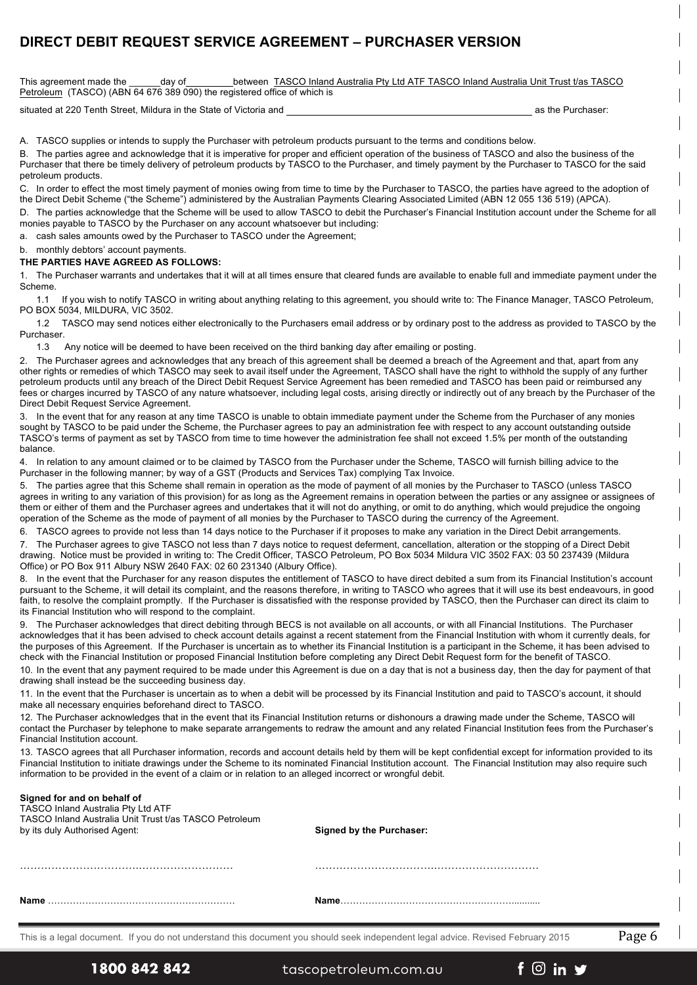# **DIRECT DEBIT REQUEST SERVICE AGREEMENT – PURCHASER VERSION**

This agreement made the \_\_\_\_\_\_day of \_\_\_\_\_\_\_between TASCO Inland Australia Pty Ltd ATF TASCO Inland Australia Unit Trust t/as TASCO Petroleum (TASCO) (ABN 64 676 389 090) the registered office of which is

situated at 220 Tenth Street, Mildura in the State of Victoria and **Assemblic Control in the Purchaser:** as the Purchaser:

A. TASCO supplies or intends to supply the Purchaser with petroleum products pursuant to the terms and conditions below.

B. The parties agree and acknowledge that it is imperative for proper and efficient operation of the business of TASCO and also the business of the Purchaser that there be timely delivery of petroleum products by TASCO to the Purchaser, and timely payment by the Purchaser to TASCO for the said petroleum products.

C. In order to effect the most timely payment of monies owing from time to time by the Purchaser to TASCO, the parties have agreed to the adoption of the Direct Debit Scheme ("the Scheme") administered by the Australian Payments Clearing Associated Limited (ABN 12 055 136 519) (APCA).

D. The parties acknowledge that the Scheme will be used to allow TASCO to debit the Purchaser's Financial Institution account under the Scheme for all monies payable to TASCO by the Purchaser on any account whatsoever but including:

a. cash sales amounts owed by the Purchaser to TASCO under the Agreement;

b. monthly debtors' account payments.

**THE PARTIES HAVE AGREED AS FOLLOWS:**

The Purchaser warrants and undertakes that it will at all times ensure that cleared funds are available to enable full and immediate payment under the Scheme.

1.1 If you wish to notify TASCO in writing about anything relating to this agreement, you should write to: The Finance Manager, TASCO Petroleum, PO BOX 5034, MILDURA, VIC 3502.

1.2 TASCO may send notices either electronically to the Purchasers email address or by ordinary post to the address as provided to TASCO by the Purchaser.

1.3 Any notice will be deemed to have been received on the third banking day after emailing or posting.

2. The Purchaser agrees and acknowledges that any breach of this agreement shall be deemed a breach of the Agreement and that, apart from any other rights or remedies of which TASCO may seek to avail itself under the Agreement, TASCO shall have the right to withhold the supply of any further petroleum products until any breach of the Direct Debit Request Service Agreement has been remedied and TASCO has been paid or reimbursed any fees or charges incurred by TASCO of any nature whatsoever, including legal costs, arising directly or indirectly out of any breach by the Purchaser of the Direct Debit Request Service Agreement.

3. In the event that for any reason at any time TASCO is unable to obtain immediate payment under the Scheme from the Purchaser of any monies sought by TASCO to be paid under the Scheme, the Purchaser agrees to pay an administration fee with respect to any account outstanding outside TASCO's terms of payment as set by TASCO from time to time however the administration fee shall not exceed 1.5% per month of the outstanding balance.

4. In relation to any amount claimed or to be claimed by TASCO from the Purchaser under the Scheme, TASCO will furnish billing advice to the Purchaser in the following manner; by way of a GST (Products and Services Tax) complying Tax Invoice.

5. The parties agree that this Scheme shall remain in operation as the mode of payment of all monies by the Purchaser to TASCO (unless TASCO agrees in writing to any variation of this provision) for as long as the Agreement remains in operation between the parties or any assignee or assignees of them or either of them and the Purchaser agrees and undertakes that it will not do anything, or omit to do anything, which would prejudice the ongoing operation of the Scheme as the mode of payment of all monies by the Purchaser to TASCO during the currency of the Agreement.

6. TASCO agrees to provide not less than 14 days notice to the Purchaser if it proposes to make any variation in the Direct Debit arrangements.

7. The Purchaser agrees to give TASCO not less than 7 days notice to request deferment, cancellation, alteration or the stopping of a Direct Debit drawing. Notice must be provided in writing to: The Credit Officer, TASCO Petroleum, PO Box 5034 Mildura VIC 3502 FAX: 03 50 237439 (Mildura Office) or PO Box 911 Albury NSW 2640 FAX: 02 60 231340 (Albury Office).

8. In the event that the Purchaser for any reason disputes the entitlement of TASCO to have direct debited a sum from its Financial Institution's account pursuant to the Scheme, it will detail its complaint, and the reasons therefore, in writing to TASCO who agrees that it will use its best endeavours, in good faith, to resolve the complaint promptly. If the Purchaser is dissatisfied with the response provided by TASCO, then the Purchaser can direct its claim to its Financial Institution who will respond to the complaint.

9. The Purchaser acknowledges that direct debiting through BECS is not available on all accounts, or with all Financial Institutions. The Purchaser acknowledges that it has been advised to check account details against a recent statement from the Financial Institution with whom it currently deals, for the purposes of this Agreement. If the Purchaser is uncertain as to whether its Financial Institution is a participant in the Scheme, it has been advised to check with the Financial Institution or proposed Financial Institution before completing any Direct Debit Request form for the benefit of TASCO.

10. In the event that any payment required to be made under this Agreement is due on a day that is not a business day, then the day for payment of that drawing shall instead be the succeeding business day.

11. In the event that the Purchaser is uncertain as to when a debit will be processed by its Financial Institution and paid to TASCO's account, it should make all necessary enquiries beforehand direct to TASCO.

12. The Purchaser acknowledges that in the event that its Financial Institution returns or dishonours a drawing made under the Scheme, TASCO will contact the Purchaser by telephone to make separate arrangements to redraw the amount and any related Financial Institution fees from the Purchaser's Financial Institution account.

13. TASCO agrees that all Purchaser information, records and account details held by them will be kept confidential except for information provided to its Financial Institution to initiate drawings under the Scheme to its nominated Financial Institution account. The Financial Institution may also require such information to be provided in the event of a claim or in relation to an alleged incorrect or wrongful debit.

|  |  |  |  |  |  | Signed for and on behalf of |  |
|--|--|--|--|--|--|-----------------------------|--|
|  |  |  |  |  |  |                             |  |

| TASCO Inland Australia Pty Ltd ATF<br>TASCO Inland Australia Unit Trust t/as TASCO Petroleum<br>by its duly Authorised Agent: | <b>Signed by the Purchaser:</b> |
|-------------------------------------------------------------------------------------------------------------------------------|---------------------------------|
|                                                                                                                               |                                 |
| Name                                                                                                                          |                                 |

This is a legal document. If you do not understand this document you should seek independent legal advice. Revised February 2015  $Page\,6$ 

 $f \circledcirc$  in  $\blacktriangleright$ 

# 1800 842 842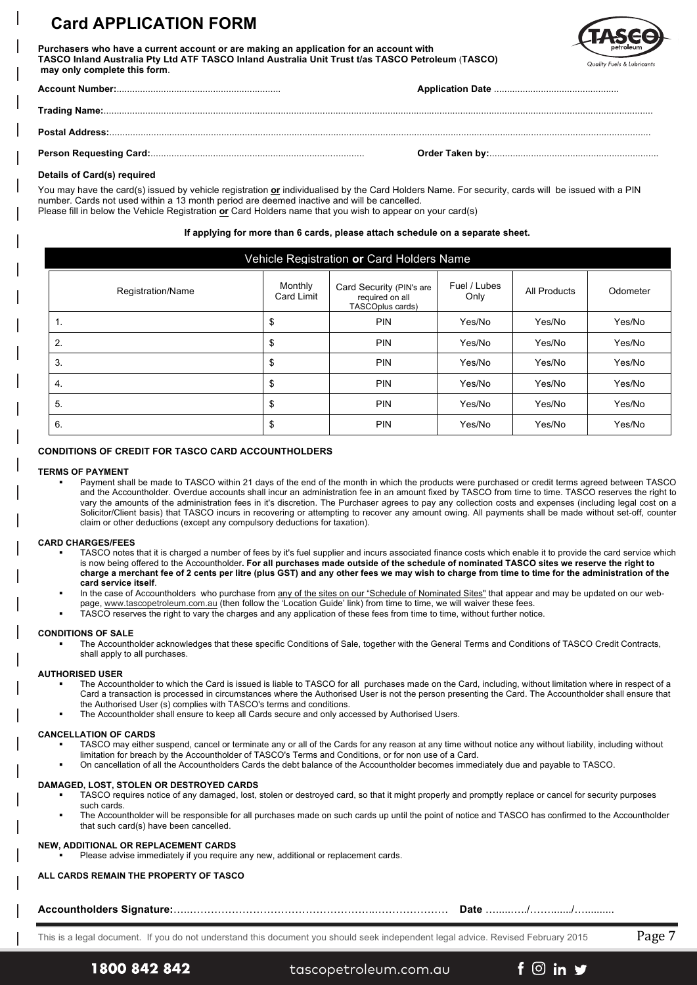# **Card APPLICATION FORM**

**Purchasers who have a current account or are making an application for an account with TASCO Inland Australia Pty Ltd ATF TASCO Inland Australia Unit Trust t/as TASCO Petroleum** (**TASCO) may only complete this form**.



### **Details of Card(s) required**

You may have the card(s) issued by vehicle registration **or** individualised by the Card Holders Name. For security, cards will be issued with a PIN number. Cards not used within a 13 month period are deemed inactive and will be cancelled. Please fill in below the Vehicle Registration **or** Card Holders name that you wish to appear on your card(s)

### **If applying for more than 6 cards, please attach schedule on a separate sheet.**

| Vehicle Registration or Card Holders Name |                       |                                                                                         |        |                     |          |  |  |  |  |
|-------------------------------------------|-----------------------|-----------------------------------------------------------------------------------------|--------|---------------------|----------|--|--|--|--|
| Registration/Name                         | Monthly<br>Card Limit | Fuel / Lubes<br>Card Security (PIN's are<br>Only<br>required on all<br>TASCOplus cards) |        | <b>All Products</b> | Odometer |  |  |  |  |
| 1.                                        | \$                    | <b>PIN</b>                                                                              | Yes/No | Yes/No              | Yes/No   |  |  |  |  |
| 2.                                        | \$                    | <b>PIN</b>                                                                              | Yes/No | Yes/No              | Yes/No   |  |  |  |  |
| 3.                                        | \$                    | <b>PIN</b>                                                                              | Yes/No | Yes/No              | Yes/No   |  |  |  |  |
| 4.                                        | \$                    | <b>PIN</b>                                                                              | Yes/No | Yes/No              | Yes/No   |  |  |  |  |
| 5.                                        | \$                    | <b>PIN</b>                                                                              | Yes/No | Yes/No              | Yes/No   |  |  |  |  |
| 6.                                        | \$                    | <b>PIN</b>                                                                              | Yes/No | Yes/No              | Yes/No   |  |  |  |  |

### **CONDITIONS OF CREDIT FOR TASCO CARD ACCOUNTHOLDERS**

#### **TERMS OF PAYMENT**

§ Payment shall be made to TASCO within 21 days of the end of the month in which the products were purchased or credit terms agreed between TASCO and the Accountholder. Overdue accounts shall incur an administration fee in an amount fixed by TASCO from time to time. TASCO reserves the right to vary the amounts of the administration fees in it's discretion. The Purchaser agrees to pay any collection costs and expenses (including legal cost on a Solicitor/Client basis) that TASCO incurs in recovering or attempting to recover any amount owing. All payments shall be made without set-off, counter claim or other deductions (except any compulsory deductions for taxation).

#### **CARD CHARGES/FEES**

- TASCO notes that it is charged a number of fees by it's fuel supplier and incurs associated finance costs which enable it to provide the card service which is now being offered to the Accountholder**. For all purchases made outside of the schedule of nominated TASCO sites we reserve the right to charge a merchant fee of 2 cents per litre (plus GST) and any other fees we may wish to charge from time to time for the administration of the card service itself**.
- In the case of Accountholders who purchase from any of the sites on our "Schedule of Nominated Sites" that appear and may be updated on our web-
- page, www.tascopetroleum.com.au (then follow the 'Location Guide' link) from time to time, we will waiver these fees.
- TASCO reserves the right to vary the charges and any application of these fees from time to time, without further notice.

### **CONDITIONS OF SALE**

The Accountholder acknowledges that these specific Conditions of Sale, together with the General Terms and Conditions of TASCO Credit Contracts, shall apply to all purchases.

#### **AUTHORISED USER**

- The Accountholder to which the Card is issued is liable to TASCO for all purchases made on the Card, including, without limitation where in respect of a Card a transaction is processed in circumstances where the Authorised User is not the person presenting the Card. The Accountholder shall ensure that the Authorised User (s) complies with TASCO's terms and conditions.
- The Accountholder shall ensure to keep all Cards secure and only accessed by Authorised Users.

#### **CANCELLATION OF CARDS**

- TASCO may either suspend, cancel or terminate any or all of the Cards for any reason at any time without notice any without liability, including without limitation for breach by the Accountholder of TASCO's Terms and Conditions, or for non use of a Card.
- § On cancellation of all the Accountholders Cards the debt balance of the Accountholder becomes immediately due and payable to TASCO.

#### **DAMAGED, LOST, STOLEN OR DESTROYED CARDS**

- TASCO requires notice of any damaged, lost, stolen or destroyed card, so that it might properly and promptly replace or cancel for security purposes such cards.
- The Accountholder will be responsible for all purchases made on such cards up until the point of notice and TASCO has confirmed to the Accountholder that such card(s) have been cancelled.

### **NEW, ADDITIONAL OR REPLACEMENT CARDS**

Please advise immediately if you require any new, additional or replacement cards.

### **ALL CARDS REMAIN THE PROPERTY OF TASCO**

### **Accountholders Signature:**…..……………………………………………..………………… **Date** ….....…../……......./…..........

This is a legal document. If you do not understand this document you should seek independent legal advice. Revised February 2015 Page 7

1800 842 842